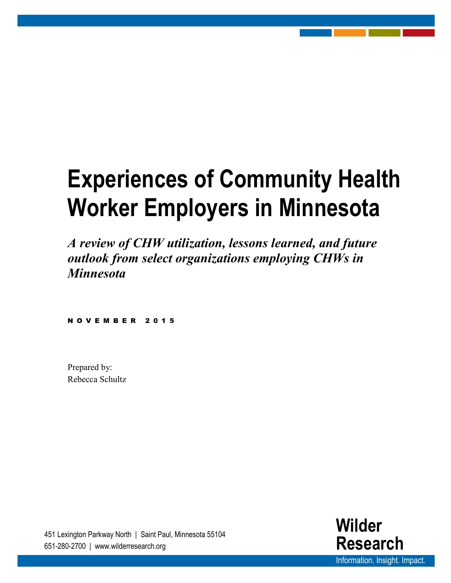# **Experiences of Community Health Worker Employers in Minnesota**

*A review of CHW utilization, lessons learned, and future outlook from select organizations employing CHWs in Minnesota*

NOVEMBER 2015

Prepared by: Rebecca Schultz

> **Wilder Research** Information. Insight. Impact.

451 Lexington Parkway North | Saint Paul, Minnesota 55104 651-280-2700 | www.wilderresearch.org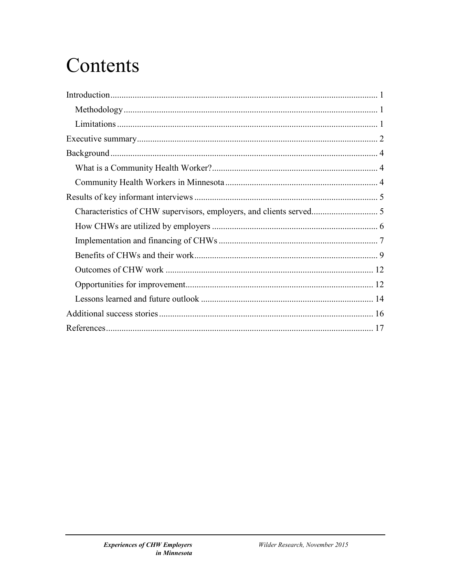## Contents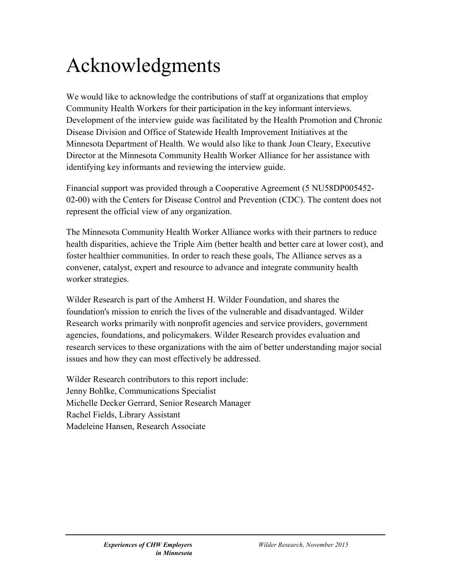### Acknowledgments

We would like to acknowledge the contributions of staff at organizations that employ Community Health Workers for their participation in the key informant interviews. Development of the interview guide was facilitated by the Health Promotion and Chronic Disease Division and Office of Statewide Health Improvement Initiatives at the Minnesota Department of Health. We would also like to thank Joan Cleary, Executive Director at the Minnesota Community Health Worker Alliance for her assistance with identifying key informants and reviewing the interview guide.

Financial support was provided through a Cooperative Agreement (5 NU58DP005452- 02-00) with the Centers for Disease Control and Prevention (CDC). The content does not represent the official view of any organization.

The Minnesota Community Health Worker Alliance works with their partners to reduce health disparities, achieve the Triple Aim (better health and better care at lower cost), and foster healthier communities. In order to reach these goals, The Alliance serves as a convener, catalyst, expert and resource to advance and integrate community health worker strategies.

Wilder Research is part of the Amherst H. Wilder Foundation, and shares the foundation's mission to enrich the lives of the vulnerable and disadvantaged. Wilder Research works primarily with nonprofit agencies and service providers, government agencies, foundations, and policymakers. Wilder Research provides evaluation and research services to these organizations with the aim of better understanding major social issues and how they can most effectively be addressed.

Wilder Research contributors to this report include: Jenny Bohlke, Communications Specialist Michelle Decker Gerrard, Senior Research Manager Rachel Fields, Library Assistant Madeleine Hansen, Research Associate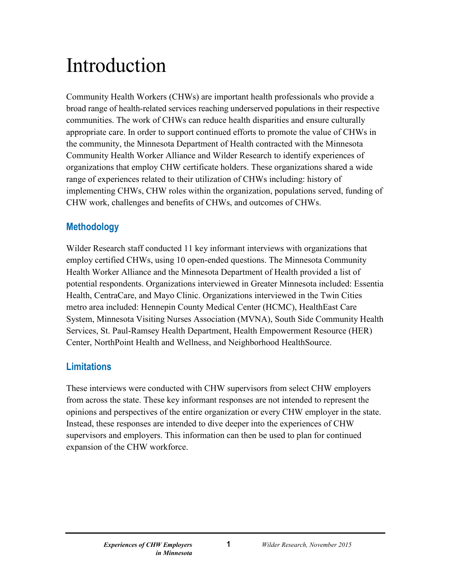## <span id="page-3-0"></span>Introduction

Community Health Workers (CHWs) are important health professionals who provide a broad range of health-related services reaching underserved populations in their respective communities. The work of CHWs can reduce health disparities and ensure culturally appropriate care. In order to support continued efforts to promote the value of CHWs in the community, the Minnesota Department of Health contracted with the Minnesota Community Health Worker Alliance and Wilder Research to identify experiences of organizations that employ CHW certificate holders. These organizations shared a wide range of experiences related to their utilization of CHWs including: history of implementing CHWs, CHW roles within the organization, populations served, funding of CHW work, challenges and benefits of CHWs, and outcomes of CHWs.

#### <span id="page-3-1"></span>**Methodology**

Wilder Research staff conducted 11 key informant interviews with organizations that employ certified CHWs, using 10 open-ended questions. The Minnesota Community Health Worker Alliance and the Minnesota Department of Health provided a list of potential respondents. Organizations interviewed in Greater Minnesota included: Essentia Health, CentraCare, and Mayo Clinic. Organizations interviewed in the Twin Cities metro area included: Hennepin County Medical Center (HCMC), HealthEast Care System, Minnesota Visiting Nurses Association (MVNA), South Side Community Health Services, St. Paul-Ramsey Health Department, Health Empowerment Resource (HER) Center, NorthPoint Health and Wellness, and Neighborhood HealthSource.

#### <span id="page-3-2"></span>**Limitations**

These interviews were conducted with CHW supervisors from select CHW employers from across the state. These key informant responses are not intended to represent the opinions and perspectives of the entire organization or every CHW employer in the state. Instead, these responses are intended to dive deeper into the experiences of CHW supervisors and employers. This information can then be used to plan for continued expansion of the CHW workforce.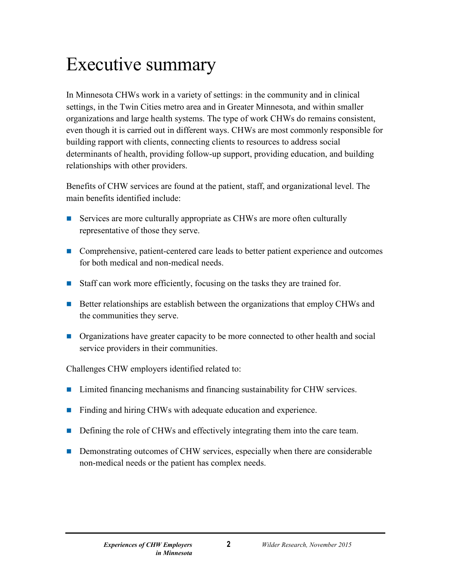### <span id="page-4-0"></span>Executive summary

In Minnesota CHWs work in a variety of settings: in the community and in clinical settings, in the Twin Cities metro area and in Greater Minnesota, and within smaller organizations and large health systems. The type of work CHWs do remains consistent, even though it is carried out in different ways. CHWs are most commonly responsible for building rapport with clients, connecting clients to resources to address social determinants of health, providing follow-up support, providing education, and building relationships with other providers.

Benefits of CHW services are found at the patient, staff, and organizational level. The main benefits identified include:

- Services are more culturally appropriate as CHWs are more often culturally representative of those they serve.
- Comprehensive, patient-centered care leads to better patient experience and outcomes for both medical and non-medical needs.
- Staff can work more efficiently, focusing on the tasks they are trained for.
- Better relationships are establish between the organizations that employ CHWs and the communities they serve.
- **Organizations have greater capacity to be more connected to other health and social** service providers in their communities.

Challenges CHW employers identified related to:

- Limited financing mechanisms and financing sustainability for CHW services.
- **Finding and hiring CHWs with adequate education and experience.**
- Defining the role of CHWs and effectively integrating them into the care team.
- **Demonstrating outcomes of CHW services, especially when there are considerable** non-medical needs or the patient has complex needs.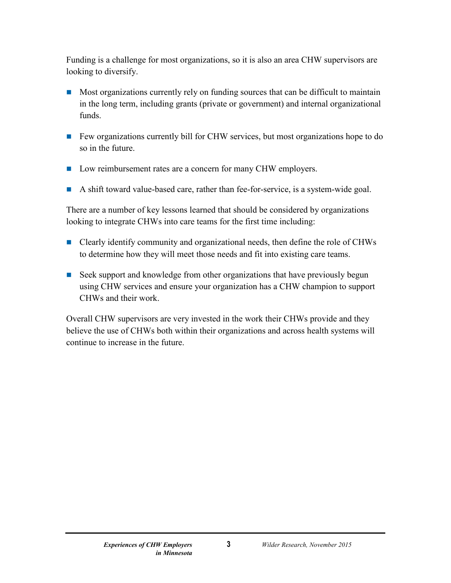Funding is a challenge for most organizations, so it is also an area CHW supervisors are looking to diversify.

- $\blacksquare$  Most organizations currently rely on funding sources that can be difficult to maintain in the long term, including grants (private or government) and internal organizational funds.
- Few organizations currently bill for CHW services, but most organizations hope to do so in the future.
- Low reimbursement rates are a concern for many CHW employers.
- A shift toward value-based care, rather than fee-for-service, is a system-wide goal.

There are a number of key lessons learned that should be considered by organizations looking to integrate CHWs into care teams for the first time including:

- Clearly identify community and organizational needs, then define the role of CHWs to determine how they will meet those needs and fit into existing care teams.
- Seek support and knowledge from other organizations that have previously begun using CHW services and ensure your organization has a CHW champion to support CHWs and their work.

Overall CHW supervisors are very invested in the work their CHWs provide and they believe the use of CHWs both within their organizations and across health systems will continue to increase in the future.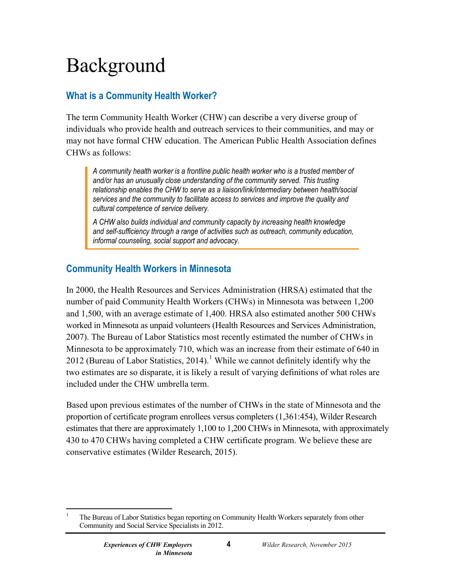# <span id="page-6-0"></span>Background

#### <span id="page-6-1"></span>**What is a Community Health Worker?**

The term Community Health Worker (CHW) can describe a very diverse group of individuals who provide health and outreach services to their communities, and may or may not have formal CHW education. The American Public Health Association defines CHWs as follows:

*A community health worker is a frontline public health worker who is a trusted member of and/or has an unusually close understanding of the community served. This trusting relationship enables the CHW to serve as a liaison/link/intermediary between health/social services and the community to facilitate access to services and improve the quality and cultural competence of service delivery.*

*A CHW also builds individual and community capacity by increasing health knowledge and self-sufficiency through a range of activities such as outreach, community education, informal counseling, social support and advocacy.*

#### <span id="page-6-2"></span>**Community Health Workers in Minnesota**

In 2000, the Health Resources and Services Administration (HRSA) estimated that the number of paid Community Health Workers (CHWs) in Minnesota was between 1,200 and 1,500, with an average estimate of 1,400. HRSA also estimated another 500 CHWs worked in Minnesota as unpaid volunteers (Health Resources and Services Administration, 2007). The Bureau of Labor Statistics most recently estimated the number of CHWs in Minnesota to be approximately 710, which was an increase from their estimate of 640 in 20[1](#page-6-3)2 (Bureau of Labor Statistics, 2014).<sup>1</sup> While we cannot definitely identify why the two estimates are so disparate, it is likely a result of varying definitions of what roles are included under the CHW umbrella term.

Based upon previous estimates of the number of CHWs in the state of Minnesota and the proportion of certificate program enrollees versus completers (1,361:454), Wilder Research estimates that there are approximately 1,100 to 1,200 CHWs in Minnesota, with approximately 430 to 470 CHWs having completed a CHW certificate program. We believe these are conservative estimates (Wilder Research, 2015).

<span id="page-6-3"></span> <sup>1</sup> The Bureau of Labor Statistics began reporting on Community Health Workers separately from other Community and Social Service Specialists in 2012.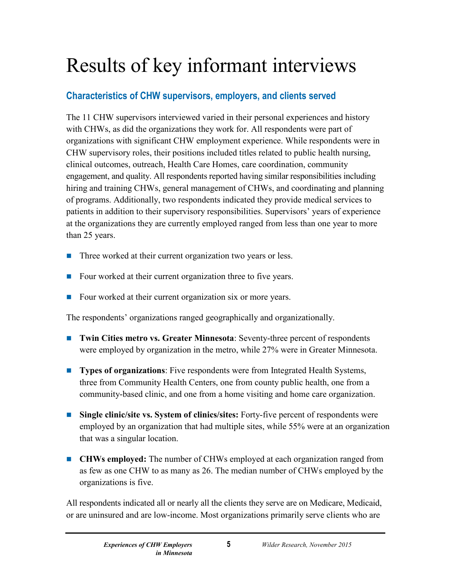# <span id="page-7-0"></span>Results of key informant interviews

#### <span id="page-7-1"></span>**Characteristics of CHW supervisors, employers, and clients served**

The 11 CHW supervisors interviewed varied in their personal experiences and history with CHWs, as did the organizations they work for. All respondents were part of organizations with significant CHW employment experience. While respondents were in CHW supervisory roles, their positions included titles related to public health nursing, clinical outcomes, outreach, Health Care Homes, care coordination, community engagement, and quality. All respondents reported having similar responsibilities including hiring and training CHWs, general management of CHWs, and coordinating and planning of programs. Additionally, two respondents indicated they provide medical services to patients in addition to their supervisory responsibilities. Supervisors' years of experience at the organizations they are currently employed ranged from less than one year to more than 25 years.

- Three worked at their current organization two years or less.
- Four worked at their current organization three to five years.
- Four worked at their current organization six or more years.

The respondents' organizations ranged geographically and organizationally.

- **Twin Cities metro vs. Greater Minnesota**: Seventy-three percent of respondents were employed by organization in the metro, while 27% were in Greater Minnesota.
- **Types of organizations**: Five respondents were from Integrated Health Systems, three from Community Health Centers, one from county public health, one from a community-based clinic, and one from a home visiting and home care organization.
- Single clinic/site **vs.** System of clinics/sites: Forty-five percent of respondents were employed by an organization that had multiple sites, while 55% were at an organization that was a singular location.
- **CHWs employed:** The number of CHWs employed at each organization ranged from as few as one CHW to as many as 26. The median number of CHWs employed by the organizations is five.

All respondents indicated all or nearly all the clients they serve are on Medicare, Medicaid, or are uninsured and are low-income. Most organizations primarily serve clients who are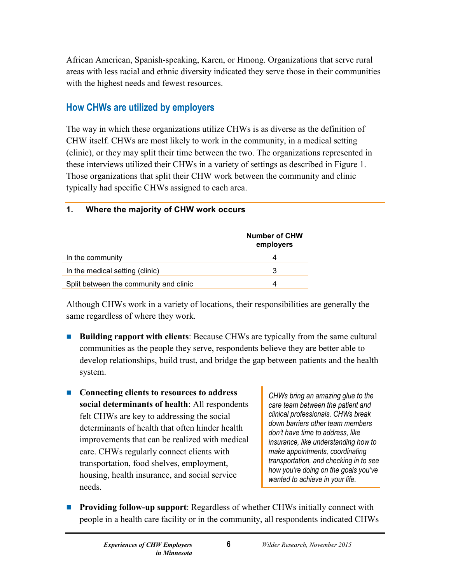African American, Spanish-speaking, Karen, or Hmong. Organizations that serve rural areas with less racial and ethnic diversity indicated they serve those in their communities with the highest needs and fewest resources.

#### <span id="page-8-0"></span>**How CHWs are utilized by employers**

The way in which these organizations utilize CHWs is as diverse as the definition of CHW itself. CHWs are most likely to work in the community, in a medical setting (clinic), or they may split their time between the two. The organizations represented in these interviews utilized their CHWs in a variety of settings as described in Figure 1. Those organizations that split their CHW work between the community and clinic typically had specific CHWs assigned to each area.

#### **1. Where the majority of CHW work occurs**

|                                        | <b>Number of CHW</b><br>employers |
|----------------------------------------|-----------------------------------|
| In the community                       | 4                                 |
| In the medical setting (clinic)        | 3                                 |
| Split between the community and clinic | 4                                 |

Although CHWs work in a variety of locations, their responsibilities are generally the same regardless of where they work.

- **Building rapport with clients**: Because CHWs are typically from the same cultural communities as the people they serve, respondents believe they are better able to develop relationships, build trust, and bridge the gap between patients and the health system.
- Connecting clients to resources to address **social determinants of health**: All respondents felt CHWs are key to addressing the social determinants of health that often hinder health improvements that can be realized with medical care. CHWs regularly connect clients with transportation, food shelves, employment, housing, health insurance, and social service needs.

*CHWs bring an amazing glue to the care team between the patient and clinical professionals. CHWs break down barriers other team members don't have time to address, like insurance, like understanding how to make appointments, coordinating transportation, and checking in to see how you're doing on the goals you've wanted to achieve in your life.*

**Providing follow-up support:** Regardless of whether CHWs initially connect with people in a health care facility or in the community, all respondents indicated CHWs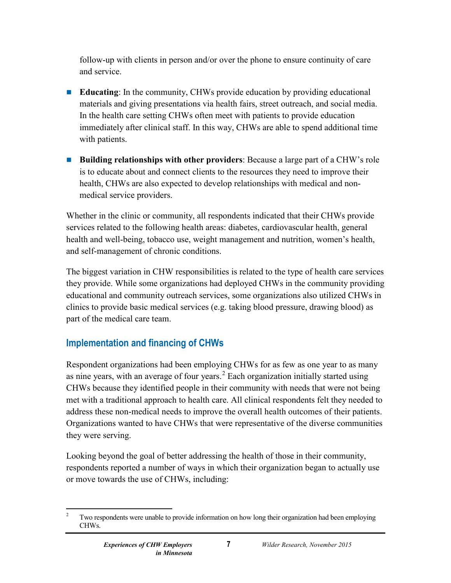follow-up with clients in person and/or over the phone to ensure continuity of care and service.

- **Educating**: In the community, CHWs provide education by providing educational materials and giving presentations via health fairs, street outreach, and social media. In the health care setting CHWs often meet with patients to provide education immediately after clinical staff. In this way, CHWs are able to spend additional time with patients.
- **Building relationships with other providers**: Because a large part of a CHW's role is to educate about and connect clients to the resources they need to improve their health, CHWs are also expected to develop relationships with medical and nonmedical service providers.

Whether in the clinic or community, all respondents indicated that their CHWs provide services related to the following health areas: diabetes, cardiovascular health, general health and well-being, tobacco use, weight management and nutrition, women's health, and self-management of chronic conditions.

The biggest variation in CHW responsibilities is related to the type of health care services they provide. While some organizations had deployed CHWs in the community providing educational and community outreach services, some organizations also utilized CHWs in clinics to provide basic medical services (e.g. taking blood pressure, drawing blood) as part of the medical care team.

#### <span id="page-9-0"></span>**Implementation and financing of CHWs**

Respondent organizations had been employing CHWs for as few as one year to as many as nine years, with an average of four years.<sup>[2](#page-9-1)</sup> Each organization initially started using CHWs because they identified people in their community with needs that were not being met with a traditional approach to health care. All clinical respondents felt they needed to address these non-medical needs to improve the overall health outcomes of their patients. Organizations wanted to have CHWs that were representative of the diverse communities they were serving.

Looking beyond the goal of better addressing the health of those in their community, respondents reported a number of ways in which their organization began to actually use or move towards the use of CHWs, including:

<span id="page-9-1"></span><sup>&</sup>lt;sup>2</sup> Two respondents were unable to provide information on how long their organization had been employing CHWs.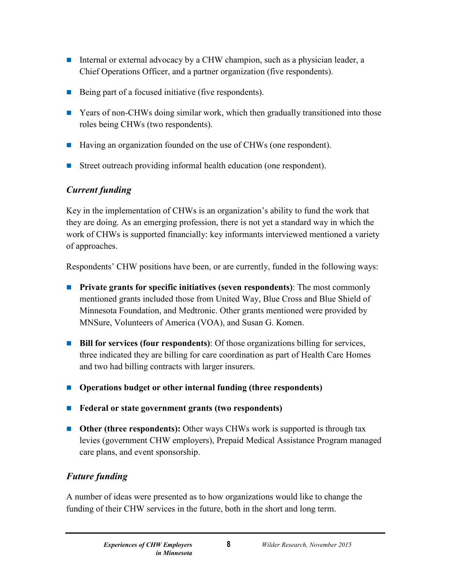- Internal or external advocacy by a CHW champion, such as a physician leader, a Chief Operations Officer, and a partner organization (five respondents).
- Being part of a focused initiative (five respondents).
- **EXECUTE:** Years of non-CHWs doing similar work, which then gradually transitioned into those roles being CHWs (two respondents).
- Having an organization founded on the use of CHWs (one respondent).
- Street outreach providing informal health education (one respondent).

#### *Current funding*

Key in the implementation of CHWs is an organization's ability to fund the work that they are doing. As an emerging profession, there is not yet a standard way in which the work of CHWs is supported financially: key informants interviewed mentioned a variety of approaches.

Respondents' CHW positions have been, or are currently, funded in the following ways:

- **Private grants for specific initiatives (seven respondents)**: The most commonly mentioned grants included those from United Way, Blue Cross and Blue Shield of Minnesota Foundation, and Medtronic. Other grants mentioned were provided by MNSure, Volunteers of America (VOA), and Susan G. Komen.
- **Bill for services (four respondents):** Of those organizations billing for services, three indicated they are billing for care coordination as part of Health Care Homes and two had billing contracts with larger insurers.
- **Operations budget or other internal funding (three respondents)**
- **Federal or state government grants (two respondents)**
- **Other** (three respondents): Other ways CHWs work is supported is through tax levies (government CHW employers), Prepaid Medical Assistance Program managed care plans, and event sponsorship.

#### *Future funding*

A number of ideas were presented as to how organizations would like to change the funding of their CHW services in the future, both in the short and long term.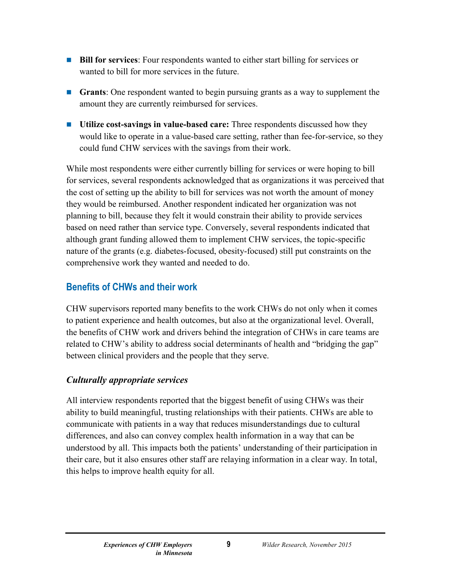- **Bill for services**: Four respondents wanted to either start billing for services or wanted to bill for more services in the future.
- **Grants**: One respondent wanted to begin pursuing grants as a way to supplement the amount they are currently reimbursed for services.
- **Utilize cost-savings in value-based care:** Three respondents discussed how they would like to operate in a value-based care setting, rather than fee-for-service, so they could fund CHW services with the savings from their work.

While most respondents were either currently billing for services or were hoping to bill for services, several respondents acknowledged that as organizations it was perceived that the cost of setting up the ability to bill for services was not worth the amount of money they would be reimbursed. Another respondent indicated her organization was not planning to bill, because they felt it would constrain their ability to provide services based on need rather than service type. Conversely, several respondents indicated that although grant funding allowed them to implement CHW services, the topic-specific nature of the grants (e.g. diabetes-focused, obesity-focused) still put constraints on the comprehensive work they wanted and needed to do.

#### <span id="page-11-0"></span>**Benefits of CHWs and their work**

CHW supervisors reported many benefits to the work CHWs do not only when it comes to patient experience and health outcomes, but also at the organizational level. Overall, the benefits of CHW work and drivers behind the integration of CHWs in care teams are related to CHW's ability to address social determinants of health and "bridging the gap" between clinical providers and the people that they serve.

#### *Culturally appropriate services*

All interview respondents reported that the biggest benefit of using CHWs was their ability to build meaningful, trusting relationships with their patients. CHWs are able to communicate with patients in a way that reduces misunderstandings due to cultural differences, and also can convey complex health information in a way that can be understood by all. This impacts both the patients' understanding of their participation in their care, but it also ensures other staff are relaying information in a clear way. In total, this helps to improve health equity for all.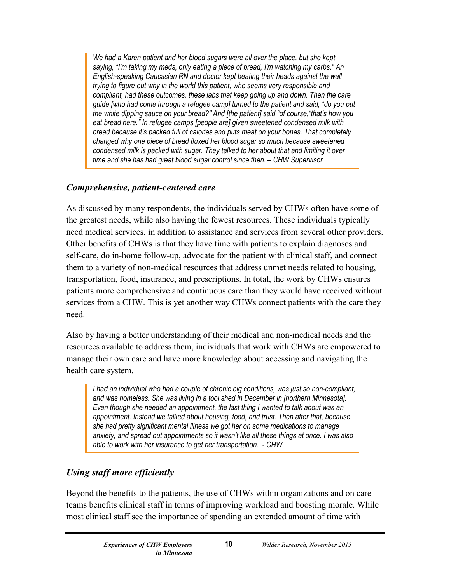*We had a Karen patient and her blood sugars were all over the place, but she kept saying, "I'm taking my meds, only eating a piece of bread, I'm watching my carbs." An English-speaking Caucasian RN and doctor kept beating their heads against the wall trying to figure out why in the world this patient, who seems very responsible and compliant, had these outcomes, these labs that keep going up and down. Then the care guide [who had come through a refugee camp] turned to the patient and said, "do you put the white dipping sauce on your bread?" And [the patient] said "of course,"that's how you eat bread here." In refugee camps [people are] given sweetened condensed milk with bread because it's packed full of calories and puts meat on your bones. That completely changed why one piece of bread fluxed her blood sugar so much because sweetened condensed milk is packed with sugar. They talked to her about that and limiting it over time and she has had great blood sugar control since then. – CHW Supervisor*

#### *Comprehensive, patient-centered care*

As discussed by many respondents, the individuals served by CHWs often have some of the greatest needs, while also having the fewest resources. These individuals typically need medical services, in addition to assistance and services from several other providers. Other benefits of CHWs is that they have time with patients to explain diagnoses and self-care, do in-home follow-up, advocate for the patient with clinical staff, and connect them to a variety of non-medical resources that address unmet needs related to housing, transportation, food, insurance, and prescriptions. In total, the work by CHWs ensures patients more comprehensive and continuous care than they would have received without services from a CHW. This is yet another way CHWs connect patients with the care they need.

Also by having a better understanding of their medical and non-medical needs and the resources available to address them, individuals that work with CHWs are empowered to manage their own care and have more knowledge about accessing and navigating the health care system.

*I had an individual who had a couple of chronic big conditions, was just so non-compliant, and was homeless. She was living in a tool shed in December in [northern Minnesota]. Even though she needed an appointment, the last thing I wanted to talk about was an appointment. Instead we talked about housing, food, and trust. Then after that, because she had pretty significant mental illness we got her on some medications to manage anxiety, and spread out appointments so it wasn't like all these things at once. I was also able to work with her insurance to get her transportation. - CHW*

#### *Using staff more efficiently*

Beyond the benefits to the patients, the use of CHWs within organizations and on care teams benefits clinical staff in terms of improving workload and boosting morale. While most clinical staff see the importance of spending an extended amount of time with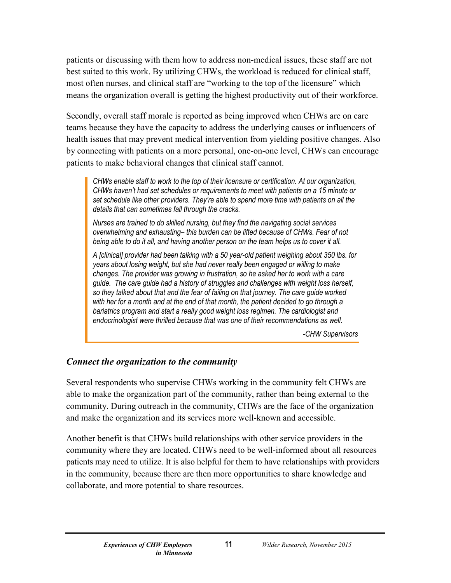patients or discussing with them how to address non-medical issues, these staff are not best suited to this work. By utilizing CHWs, the workload is reduced for clinical staff, most often nurses, and clinical staff are "working to the top of the licensure" which means the organization overall is getting the highest productivity out of their workforce.

Secondly, overall staff morale is reported as being improved when CHWs are on care teams because they have the capacity to address the underlying causes or influencers of health issues that may prevent medical intervention from yielding positive changes. Also by connecting with patients on a more personal, one-on-one level, CHWs can encourage patients to make behavioral changes that clinical staff cannot.

*CHWs enable staff to work to the top of their licensure or certification. At our organization, CHWs haven't had set schedules or requirements to meet with patients on a 15 minute or set schedule like other providers. They're able to spend more time with patients on all the details that can sometimes fall through the cracks.*

*Nurses are trained to do skilled nursing, but they find the navigating social services overwhelming and exhausting– this burden can be lifted because of CHWs. Fear of not being able to do it all, and having another person on the team helps us to cover it all.*

*A [clinical] provider had been talking with a 50 year-old patient weighing about 350 lbs. for years about losing weight, but she had never really been engaged or willing to make changes. The provider was growing in frustration, so he asked her to work with a care guide. The care guide had a history of struggles and challenges with weight loss herself, so they talked about that and the fear of failing on that journey. The care guide worked with her for a month and at the end of that month, the patient decided to go through a bariatrics program and start a really good weight loss regimen. The cardiologist and endocrinologist were thrilled because that was one of their recommendations as well.*

*-CHW Supervisors*

#### *Connect the organization to the community*

Several respondents who supervise CHWs working in the community felt CHWs are able to make the organization part of the community, rather than being external to the community. During outreach in the community, CHWs are the face of the organization and make the organization and its services more well-known and accessible.

Another benefit is that CHWs build relationships with other service providers in the community where they are located. CHWs need to be well-informed about all resources patients may need to utilize. It is also helpful for them to have relationships with providers in the community, because there are then more opportunities to share knowledge and collaborate, and more potential to share resources.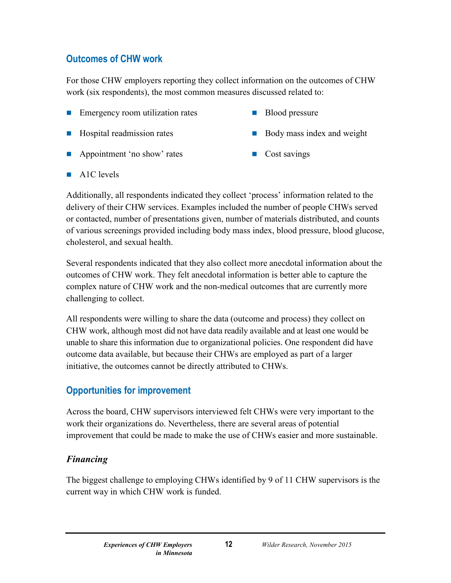#### <span id="page-14-0"></span>**Outcomes of CHW work**

For those CHW employers reporting they collect information on the outcomes of CHW work (six respondents), the most common measures discussed related to:

- **Example 1** Emergency room utilization rates **Blood pressure** 
	-
- Hospital readmission rates Body mass index and weight
- 
- **Appointment 'no show' rates** Cost savings
- 

 $\blacksquare$  A1C levels

Additionally, all respondents indicated they collect 'process' information related to the delivery of their CHW services. Examples included the number of people CHWs served or contacted, number of presentations given, number of materials distributed, and counts of various screenings provided including body mass index, blood pressure, blood glucose, cholesterol, and sexual health.

Several respondents indicated that they also collect more anecdotal information about the outcomes of CHW work. They felt anecdotal information is better able to capture the complex nature of CHW work and the non-medical outcomes that are currently more challenging to collect.

All respondents were willing to share the data (outcome and process) they collect on CHW work, although most did not have data readily available and at least one would be unable to share this information due to organizational policies. One respondent did have outcome data available, but because their CHWs are employed as part of a larger initiative, the outcomes cannot be directly attributed to CHWs.

#### <span id="page-14-1"></span>**Opportunities for improvement**

Across the board, CHW supervisors interviewed felt CHWs were very important to the work their organizations do. Nevertheless, there are several areas of potential improvement that could be made to make the use of CHWs easier and more sustainable.

#### *Financing*

The biggest challenge to employing CHWs identified by 9 of 11 CHW supervisors is the current way in which CHW work is funded.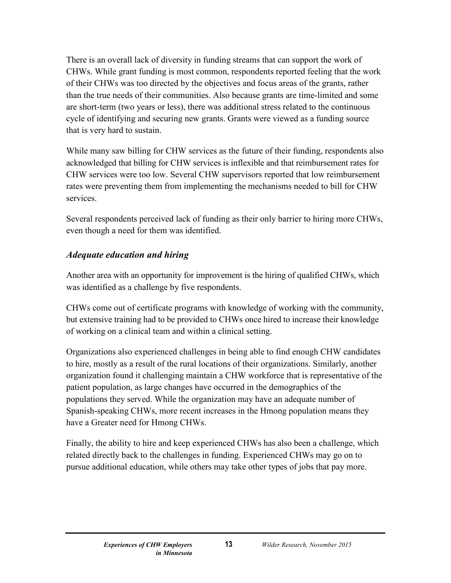There is an overall lack of diversity in funding streams that can support the work of CHWs. While grant funding is most common, respondents reported feeling that the work of their CHWs was too directed by the objectives and focus areas of the grants, rather than the true needs of their communities. Also because grants are time-limited and some are short-term (two years or less), there was additional stress related to the continuous cycle of identifying and securing new grants. Grants were viewed as a funding source that is very hard to sustain.

While many saw billing for CHW services as the future of their funding, respondents also acknowledged that billing for CHW services is inflexible and that reimbursement rates for CHW services were too low. Several CHW supervisors reported that low reimbursement rates were preventing them from implementing the mechanisms needed to bill for CHW services.

Several respondents perceived lack of funding as their only barrier to hiring more CHWs, even though a need for them was identified.

#### *Adequate education and hiring*

Another area with an opportunity for improvement is the hiring of qualified CHWs, which was identified as a challenge by five respondents.

CHWs come out of certificate programs with knowledge of working with the community, but extensive training had to be provided to CHWs once hired to increase their knowledge of working on a clinical team and within a clinical setting.

Organizations also experienced challenges in being able to find enough CHW candidates to hire, mostly as a result of the rural locations of their organizations. Similarly, another organization found it challenging maintain a CHW workforce that is representative of the patient population, as large changes have occurred in the demographics of the populations they served. While the organization may have an adequate number of Spanish-speaking CHWs, more recent increases in the Hmong population means they have a Greater need for Hmong CHWs.

Finally, the ability to hire and keep experienced CHWs has also been a challenge, which related directly back to the challenges in funding. Experienced CHWs may go on to pursue additional education, while others may take other types of jobs that pay more.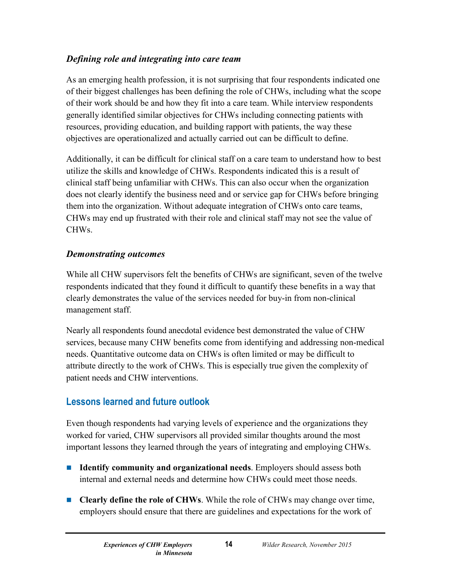#### *Defining role and integrating into care team*

As an emerging health profession, it is not surprising that four respondents indicated one of their biggest challenges has been defining the role of CHWs, including what the scope of their work should be and how they fit into a care team. While interview respondents generally identified similar objectives for CHWs including connecting patients with resources, providing education, and building rapport with patients, the way these objectives are operationalized and actually carried out can be difficult to define.

Additionally, it can be difficult for clinical staff on a care team to understand how to best utilize the skills and knowledge of CHWs. Respondents indicated this is a result of clinical staff being unfamiliar with CHWs. This can also occur when the organization does not clearly identify the business need and or service gap for CHWs before bringing them into the organization. Without adequate integration of CHWs onto care teams, CHWs may end up frustrated with their role and clinical staff may not see the value of CHWs.

#### *Demonstrating outcomes*

While all CHW supervisors felt the benefits of CHWs are significant, seven of the twelve respondents indicated that they found it difficult to quantify these benefits in a way that clearly demonstrates the value of the services needed for buy-in from non-clinical management staff.

Nearly all respondents found anecdotal evidence best demonstrated the value of CHW services, because many CHW benefits come from identifying and addressing non-medical needs. Quantitative outcome data on CHWs is often limited or may be difficult to attribute directly to the work of CHWs. This is especially true given the complexity of patient needs and CHW interventions.

#### <span id="page-16-0"></span>**Lessons learned and future outlook**

Even though respondents had varying levels of experience and the organizations they worked for varied, CHW supervisors all provided similar thoughts around the most important lessons they learned through the years of integrating and employing CHWs.

- **Identify community and organizational needs**. Employers should assess both internal and external needs and determine how CHWs could meet those needs.
- **Clearly define the role of CHWs**. While the role of CHWs may change over time, employers should ensure that there are guidelines and expectations for the work of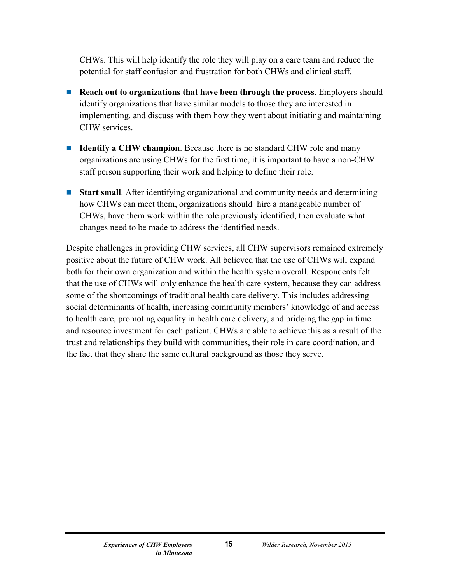CHWs. This will help identify the role they will play on a care team and reduce the potential for staff confusion and frustration for both CHWs and clinical staff.

- **Reach out to organizations that have been through the process**. Employers should identify organizations that have similar models to those they are interested in implementing, and discuss with them how they went about initiating and maintaining CHW services.
- **Identify a CHW champion**. Because there is no standard CHW role and many organizations are using CHWs for the first time, it is important to have a non-CHW staff person supporting their work and helping to define their role.
- **Start small**. After identifying organizational and community needs and determining how CHWs can meet them, organizations should hire a manageable number of CHWs, have them work within the role previously identified, then evaluate what changes need to be made to address the identified needs.

Despite challenges in providing CHW services, all CHW supervisors remained extremely positive about the future of CHW work. All believed that the use of CHWs will expand both for their own organization and within the health system overall. Respondents felt that the use of CHWs will only enhance the health care system, because they can address some of the shortcomings of traditional health care delivery. This includes addressing social determinants of health, increasing community members' knowledge of and access to health care, promoting equality in health care delivery, and bridging the gap in time and resource investment for each patient. CHWs are able to achieve this as a result of the trust and relationships they build with communities, their role in care coordination, and the fact that they share the same cultural background as those they serve.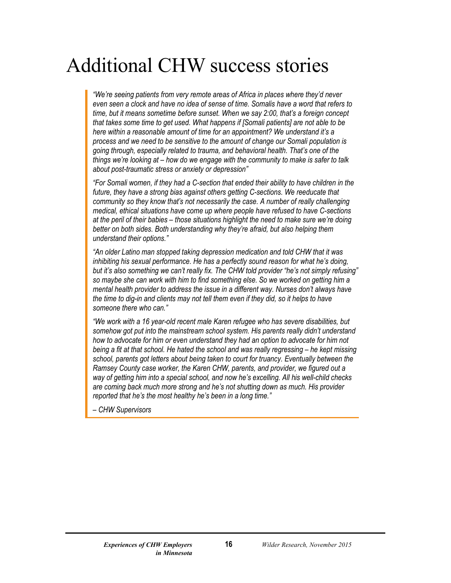### <span id="page-18-0"></span>Additional CHW success stories

*"We're seeing patients from very remote areas of Africa in places where they'd never even seen a clock and have no idea of sense of time. Somalis have a word that refers to time, but it means sometime before sunset. When we say 2:00, that's a foreign concept that takes some time to get used. What happens if [Somali patients] are not able to be here within a reasonable amount of time for an appointment? We understand it's a process and we need to be sensitive to the amount of change our Somali population is going through, especially related to trauma, and behavioral health. That's one of the things we're looking at – how do we engage with the community to make is safer to talk about post-traumatic stress or anxiety or depression"*

*"For Somali women, if they had a C-section that ended their ability to have children in the*  future, they have a strong bias against others getting C-sections. We reeducate that *community so they know that's not necessarily the case. A number of really challenging medical, ethical situations have come up where people have refused to have C-sections at the peril of their babies – those situations highlight the need to make sure we're doing better on both sides. Both understanding why they're afraid, but also helping them understand their options."* 

*"An older Latino man stopped taking depression medication and told CHW that it was inhibiting his sexual performance. He has a perfectly sound reason for what he's doing, but it's also something we can't really fix. The CHW told provider "he's not simply refusing" so maybe she can work with him to find something else. So we worked on getting him a mental health provider to address the issue in a different way. Nurses don't always have the time to dig-in and clients may not tell them even if they did, so it helps to have someone there who can."*

*"We work with a 16 year-old recent male Karen refugee who has severe disabilities, but somehow got put into the mainstream school system. His parents really didn't understand how to advocate for him or even understand they had an option to advocate for him not being a fit at that school. He hated the school and was really regressing – he kept missing school, parents got letters about being taken to court for truancy. Eventually between the Ramsey County case worker, the Karen CHW, parents, and provider, we figured out a way of getting him into a special school, and now he's excelling. All his well-child checks are coming back much more strong and he's not shutting down as much. His provider reported that he's the most healthy he's been in a long time."*

*– CHW Supervisors*